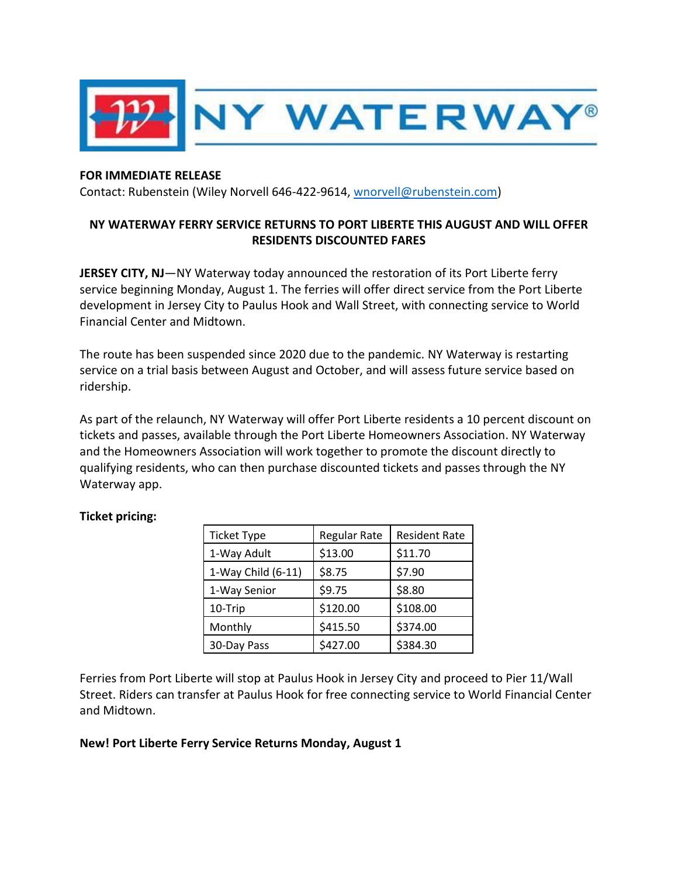

## **FOR IMMEDIATE RELEASE**

Contact: Rubenstein (Wiley Norvell 646-422-9614, [wnorvell@rubenstein.com\)](mailto:wnorvell@rubenstein.com)

## **NY WATERWAY FERRY SERVICE RETURNS TO PORT LIBERTE THIS AUGUST AND WILL OFFER RESIDENTS DISCOUNTED FARES**

**JERSEY CITY, NJ**—NY Waterway today announced the restoration of its Port Liberte ferry service beginning Monday, August 1. The ferries will offer direct service from the Port Liberte development in Jersey City to Paulus Hook and Wall Street, with connecting service to World Financial Center and Midtown.

The route has been suspended since 2020 due to the pandemic. NY Waterway is restarting service on a trial basis between August and October, and will assess future service based on ridership.

As part of the relaunch, NY Waterway will offer Port Liberte residents a 10 percent discount on tickets and passes, available through the Port Liberte Homeowners Association. NY Waterway and the Homeowners Association will work together to promote the discount directly to qualifying residents, who can then purchase discounted tickets and passes through the NY Waterway app.

| <b>Ticket Type</b> | <b>Regular Rate</b> | <b>Resident Rate</b> |
|--------------------|---------------------|----------------------|
| 1-Way Adult        | \$13.00             | \$11.70              |
| 1-Way Child (6-11) | \$8.75              | \$7.90               |
| 1-Way Senior       | \$9.75              | \$8.80               |
| 10-Trip            | \$120.00            | \$108.00             |
| Monthly            | \$415.50            | \$374.00             |
| 30-Day Pass        | \$427.00            | \$384.30             |

## **Ticket pricing:**

Ferries from Port Liberte will stop at Paulus Hook in Jersey City and proceed to Pier 11/Wall Street. Riders can transfer at Paulus Hook for free connecting service to World Financial Center and Midtown.

## **New! Port Liberte Ferry Service Returns Monday, August 1**